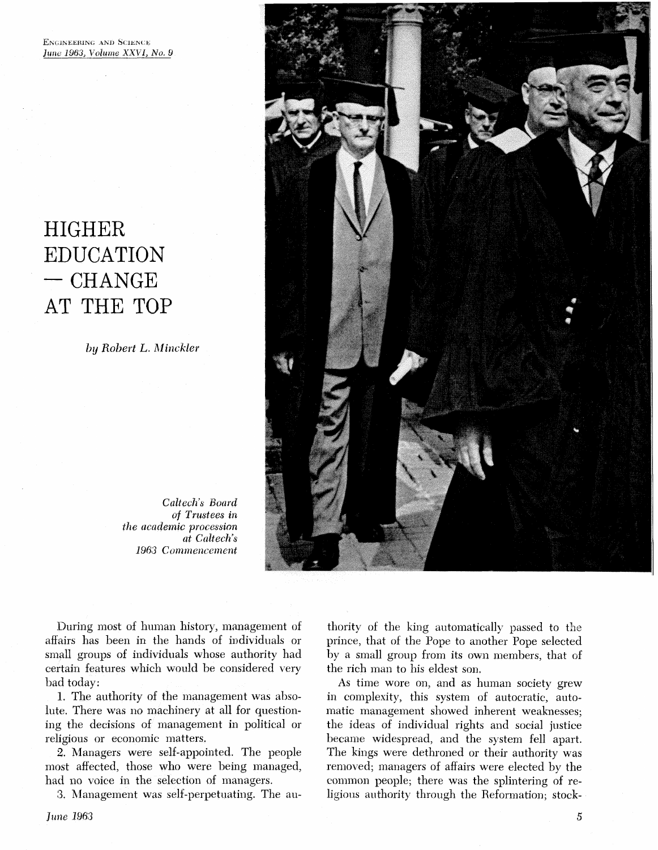# HIGHER<br>EDUCATION<br>- CHANGE AT THE TOP

by Robert L. Minckler



*Caltech's Board*<br>*of Trustees in* the academic procession **at** *Caltech's*  1963 *Commencement* 

During most of human history, management of affairs has been in the hands of individuals or small groups of individuals whose authority had certain features which would be considered very bad today:

1. The authority of the management was absolute. There was no machinery at all for questioning the decisions of management in political or religious or economic matters.

2. Managers were self-appointed. The people most affected, those who were being managed, had no voice in the selection of managers.

3. Management was self-perpetuating. The au-

thority of the king automatically passed to the prince, that of the Pope to another Pope selected by a small group from its own members, that of the rich man to his eldest son.

As time wore on, and as human society grew in complexity, this system of autocratic, automatic management showed inherent weaknesses; the ideas of individual rights and social justice became widespread, and the system fell apart. The kings were dethroned or their authority was removed; managers of affairs were elected by the common people; there was the splintering of religious authority through the Reformation; stock-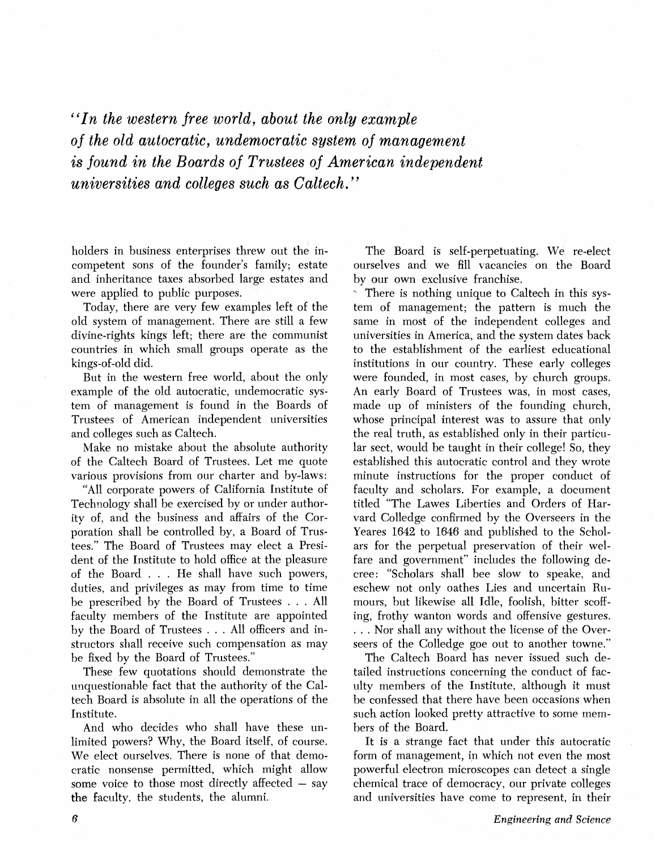*"In the western free world, about the only example*  of *the old autocratic, undemocratic system of management is found in the Boards of Trustees of American independent universities and colleges such as Caltech.* "

holders in business enterprises threw out the incompetent sons of the founder's family; estate and inheritance taxes absorbed large estates and were applied to public purposes.

Today, there are very few examples left of the old system of management. There are still a few divine-rights kings left; there are the communist countries in which small groups operate as the kings-of-old did.

But in the western free world, about the only example of the old autocratic, undemocratic system of management is found in the Boards of Trustees of American independent universities and colleges such as Caltech.

Make no mistake about the absolute authority of the Caltech Board of Trustees. Let me quote various provisions from our charter and by-laws:

"All corporate powers of California Institute of Technology shall be exercised by or under authority of, and the business and affairs of the Corporation shall be controlled by, a Board of Trustees." The Board of Trustees may elect a President of the Institute to hold office at the pleasure of the Board . . . He shall have such powers, duties, and privileges as may from time to time be prescribed by the Board of Trustees . . . All faculty members of the Institute are appointed by the Board of Trustees . . . All officers and instructors shall receive such compensation as may be fixed by the Board of Trustees."

These few quotations should demonstrate the unquestionable fact that the authority of the Caltech Board is absolute in all the operations of the Institute.

And who decides who shall have these unlimited powers? Why, the Board itself, of course. We elect ourselves. There is none of that democratic nonsense permitted, which might allow some voice to those most directly affected  $-$  say the faculty, the students, the alumni.

The Board is self-perpetuating. We re-elect ourselves and we fill vacancies on the Boar by our own exclusive franchise,

There is nothing unique to Caltech in this systern of management; the pattern is much the same in most of the independent colleges and universities in America, and the system dates back to the establishment of the earliest educational institutions in our country. These early colleges were founded, in most cases, by church groups. An early Board of Trustees was, in most cases, made up of ministers of the founding church, whose principal interest was to assure that only the real truth, as established only in their particular sect, would be taught in their college! So, they established this autocratic control and they wrote minute instructions for the proper conduct of faculty and scholars. For example, a document titled "The Lawes Liberties and Orders of Harvard Colledge confirmed by the Overseers in the Yeares 1642 to 1646 and published to the Scholars for the perpetual preservation of their welfare and government" includes the following decree: "Scholars shall bee slow to speake, and eschew not only oathes Lies and uncertain Rumours. but likewise all Idle, foolish, bitter scoffing, frothy wanton words and offensive gestures. . . . Nor shall any without the license of the Overseers of the Colledge goe out to another towne."

The Caltech Board has never issued such detailed instructions concerning the conduct of faculty members of the Institute, although it must be confessed that there have been occasions when such action looked pretty attractive to some members of the Board.

It is a strange fact that under this autocratic form of management, in which not even the most powerful electron microscopes can detect a single chemical trace of democracy, our private colleges and universities have come to represent, in their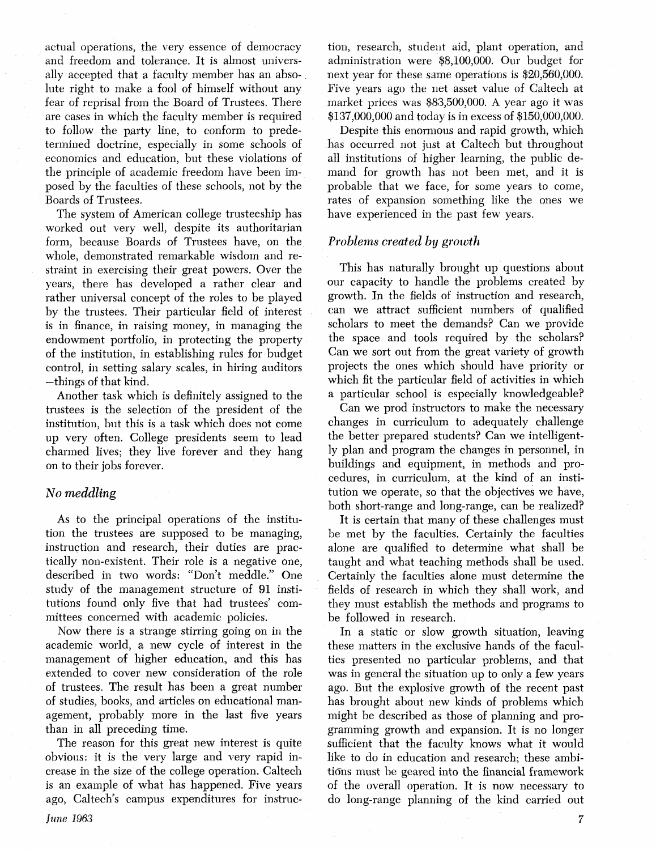actual operations, the very essence of democracy and freedom and tolerance. It is almost universally accepted that a faculty member has an absolute right to make a fool of himself without any fear of reprisal from the Board of Trustees. There are cases in which the faculty member is required to follow the party line, to conform to predetermined doctrine, especially in some schools of economics and education, but these violations of the principle of academic freedom have be posed by the faculties of these schools, not by the Boards of Trustees.

The system of American college trusteeship has worked out very well, despite its authoritarian form, because Boards of Trustees have, on the whole, demonstrated remarkable wisdom and restraint in exercising their great powers. Over the years, there has developed a rather clear and rather universal concept of the roles to be played by the trustees. Their particular field of interest is in finance, in raising money, in managing the endowment portfolio, in protecting the property of the institution, in establishing rules for budget control, in setting salary scales, in hiring auditors -things of that kind.

Another task which is definitely assigned to the trustees is the selection of the president of the institution, but this is a task which does not come up very often. College presidents seem to lead charmed lives; they live forever and they hang on to their jobs forever.

# **No meddling**

As to the principal operations of the institution the trustees are supposed to be managing, instruction and research, their duties are practically non-existent. Their role is a negative one, described in two words: "Don't meddle." One study of the management structure of 91 institutions found only five that had trustees' committees concerned with academic policies.

Now there is a strange stirring going on in the academic world, a new cycle of interest in the management of higher education, and extended to cover new consideration of the role of trustees. The result has been a great number of studies, books, and articles on educational management, probably more in the last five vears than in all preceding time.

The reason for this great new interest is quite obvious: it is the very large and very rapid increase in the size of the college operation. Galtech is an example of what has happened. Five years ago, Caltech's campus expenditures for instruction, research, student aid, plant operation, and administration were \$8,100,000. Our budget for next year for these same operations is \$20,560,000. Five years ago the **net** asset value of Caltech at market prices was \$83,500,000. A year ago it was \$137,000,000 and today is in excess of \$150,000,000.

Despite this enormous and rapid growth, which has occurred not just at Caltech but throughout all institutions of higher learning, the public demand for growth has not been met, and it is probable that we face, for some years to come, rates of expansion something like the ones we have experienced in the past few years.

# **Problems created by** *growth*

This has naturally brought up questions about our capacity to handle the problems created by growth. In the fields of instruction and research, can we attract sufficient numbers of qualified scholars to meet the demands? Can we provide the space and tools required by the scholars? Can we sort out from the great variety of growth projects the ones which should have priority or which fit the particular field of activities in which a particular school is especially knowledgeable?

Can we prod instructors to make the necessary changes in curriculum to adequately challenge the better prepared students? Can we intelligently plan and program the changes in personnel, in buildings and equipment, in methods and procedures, in curriculum, at the kind of an institution we operate, so that the objectives we have, both short-range and long-range, can be realized?

It is certain that many of these challenges must be met by the faculties. Certainly the faculties alone are qualified to determine what shall be taught and what teaching methods shall be used. Certainly the faculties alone must determine the fields of research in which they shall work, and they must establish the methods and programs to be followed in research.

In a static or slow growth situation, leaving these matters in the exclusive hands of the faculties presented no particular problems, and that was in general the situation up to only a few years ago. But the explosive growth of the recent past has brought about new kinds of problems which might be described as those of planning and programming growth and expansion. It is no longer sufficient that the faculty knows what it would like to do in education and research; these ambitions must be geared into the financial framework of the overall operation. It is now necessary to do long-range planning of the kind carried out

 $\overline{7}$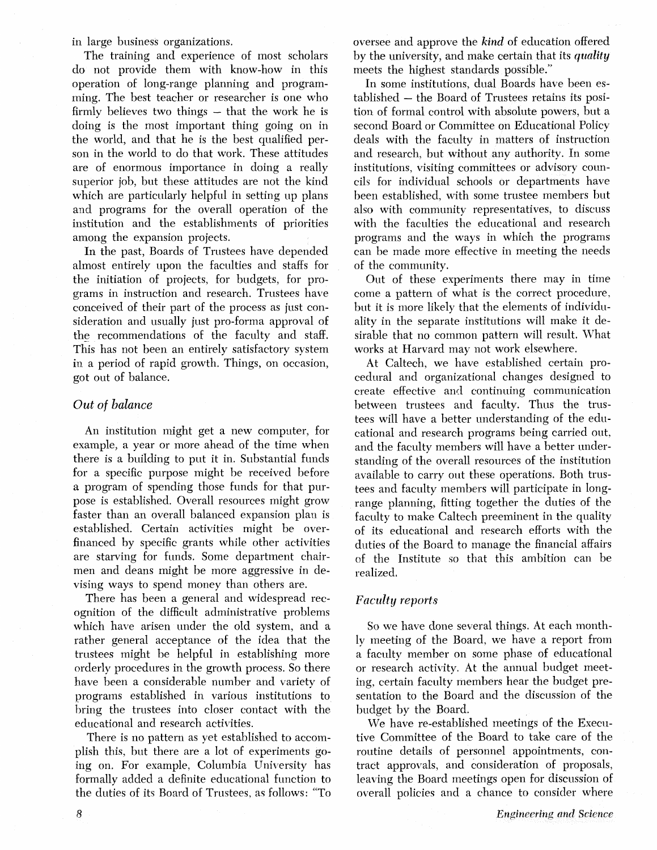in large business organizations.

The training and experience of most scholars do not provide them with know-how in this operation of long-range planning and programming. The best teacher or researcher is one who firmly believes two things  $-$  that the work he is doing is the most important thing going on in the world, and that he is the best qualified person in the world to do that work. These attitudes are of enormous importance in doing a really superior job, but these attitudes are not the kind which are particularly helpful in setting up plans and programs for the overall operation of the institution and the establishments of priorities among the expansion projects.

In the past, Boards of Trustees have depended almost entirely upon the faculties and staffs for the initiation of projects, for budgets, for programs in instruction and research. Trustees have conceived of their part of the process as just consideration and usually just pro-forma approval of the recommendations of the faculty and staff. This has not been an entirely satisfactory system in a period of rapid growth. Things, on occasion, got out of balance.

#### *Out* of *balance*

An institution might get a new computer, for example, a year or more ahead of the time when there is a building to put it in. Substantial funds for a specific purpose might be received before a program of spending those funds for that purpose is established. Overall resources might grow faster than an overall balanced expansion plan is established. Certain activities might be overfinanced by specific grants while other activities are starving for funds. Some department chairmen and deans might be more aggressive in devising ways to spend money than others are.

There has been a general and widespread recognition of the difficult administrative problems which have arisen under the old system, and a rather general acceptance of the idea that the trustees might be helpful in establishing more orderly procedures in the growth process. So there have been a considerable number and variety of programs established in various institutions to bring the trustees into closer contact with the educational and research activities.

There is no pattern as yet established to accomplish this, but there are a lot of experiments going on. For example, Columbia University has formally added a definite educational function to the duties of its Board of Trustees, as follows: "To oversee and approve the *kind* of education offered by the university, and make certain that its quality meets the highest standards possible."

In some institutions, dual Boards have been established - the Board of Trustees retains its position of formal control with absolute powers, but a second Board or Committee on Educational Policy deals with the faculty in matters of instruction and research, but without any authority. In some institutions, visiting committees or advisory councils for individual schools or departments have been established, with some trustee members but also with community representatives, to discuss with the faculties the educational and research programs and the ways in which the programs can he made more effective in meeting the needs of the community.

Out of these experiments there may in time come a pattern of what is the correct procedure. but it is more likely that the elements of individuality in the separate institutions will make it desirable that no common pattern will result. What works at Harvard may not work elsewhere.

At Caltech, we have established certain procedural and organizational changes designed to create effective and continuing communication between trustees and faculty. Thus the trustees will have a better understanding of the educational and research programs being carried out, and the faculty members will have a better understanding of the overall resources of the institution available to carry out these operations. Both trustees and faculty members will participate in longrange planning, fitting together the duties of the faculty to make Caltech preeminent in the quality of its educational and research efforts with the duties of the Board to manage the financial affairs of the Institute so that this ambition can be realized,

# *Faculty reports*

So we have done several things. At each monthly meeting of the Board, we have a report from a faculty member on some phase of educational or research activity. At the annual budget meeting, certain faculty members hear the budget presentation to the Board and the discussion of the budget by the Board.

We have re-established meetings of the Executive Committee of the Board to take care of the routine details of personnel appointments, contract approvals, and consideration of proposals, leaving the Board meetings open for overall policies and a chance to consider where

8